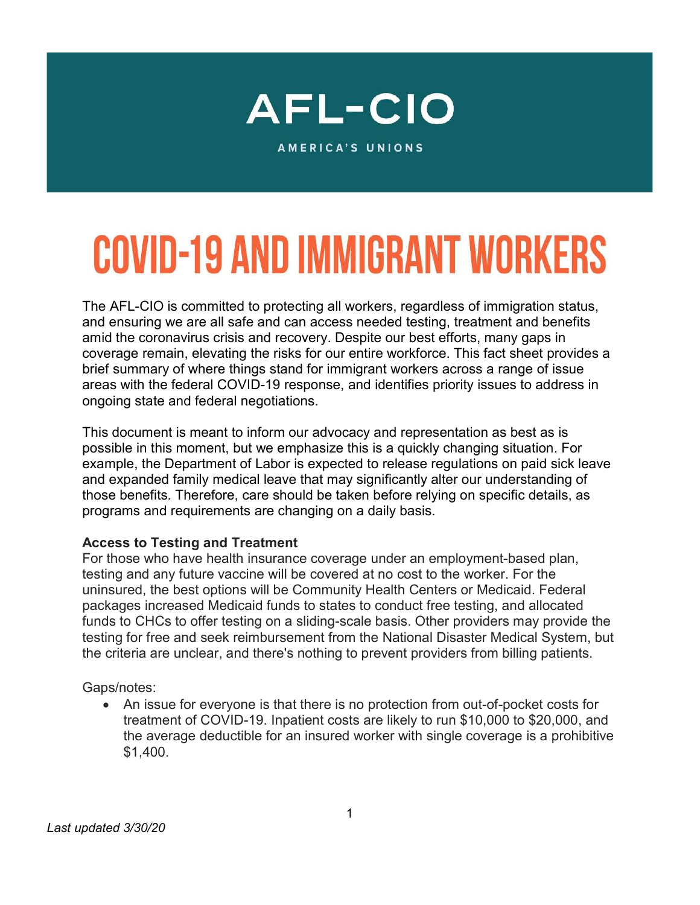

**AMERICA'S UNIONS** 

# **COVID-19 AND IMMIGRANT WORKERS**

The AFL-CIO is committed to protecting all workers, regardless of immigration status, and ensuring we are all safe and can access needed testing, treatment and benefits amid the coronavirus crisis and recovery. Despite our best efforts, many gaps in coverage remain, elevating the risks for our entire workforce. This fact sheet provides a brief summary of where things stand for immigrant workers across a range of issue areas with the federal COVID-19 response, and identifies priority issues to address in ongoing state and federal negotiations.

This document is meant to inform our advocacy and representation as best as is possible in this moment, but we emphasize this is a quickly changing situation. For example, the Department of Labor is expected to release regulations on paid sick leave and expanded family medical leave that may significantly alter our understanding of those benefits. Therefore, care should be taken before relying on specific details, as programs and requirements are changing on a daily basis.

### Access to Testing and Treatment

For those who have health insurance coverage under an employment-based plan, testing and any future vaccine will be covered at no cost to the worker. For the uninsured, the best options will be Community Health Centers or Medicaid. Federal packages increased Medicaid funds to states to conduct free testing, and allocated funds to CHCs to offer testing on a sliding-scale basis. Other providers may provide the testing for free and seek reimbursement from the National Disaster Medical System, but the criteria are unclear, and there's nothing to prevent providers from billing patients.

Gaps/notes:

 An issue for everyone is that there is no protection from out-of-pocket costs for treatment of COVID-19. Inpatient costs are likely to run \$10,000 to \$20,000, and the average deductible for an insured worker with single coverage is a prohibitive \$1,400.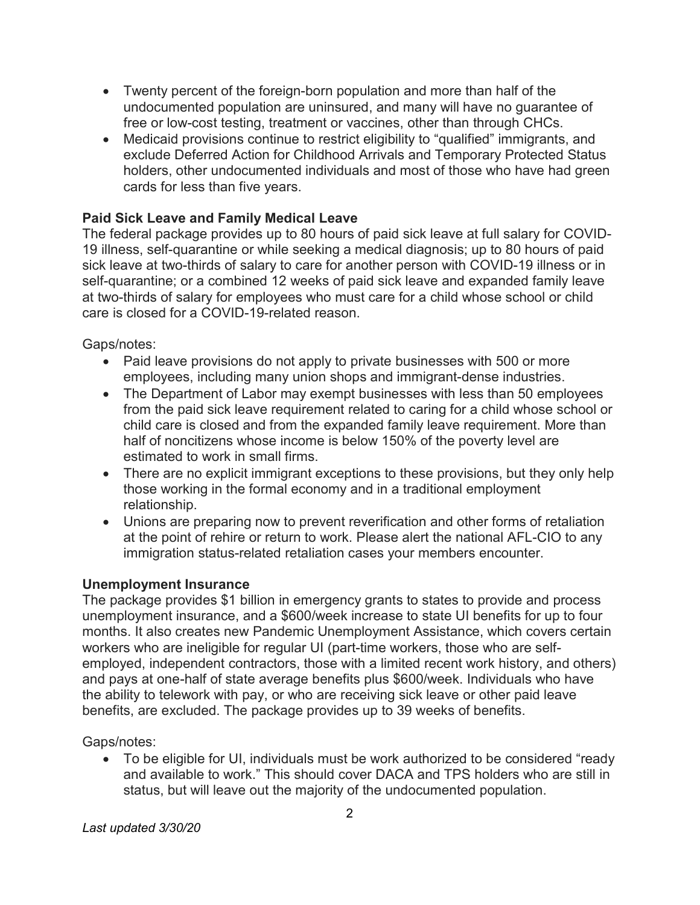- Twenty percent of the foreign-born population and more than half of the undocumented population are uninsured, and many will have no guarantee of free or low-cost testing, treatment or vaccines, other than through CHCs.
- Medicaid provisions continue to restrict eligibility to "qualified" immigrants, and exclude Deferred Action for Childhood Arrivals and Temporary Protected Status holders, other undocumented individuals and most of those who have had green cards for less than five years.

# Paid Sick Leave and Family Medical Leave

The federal package provides up to 80 hours of paid sick leave at full salary for COVID-19 illness, self-quarantine or while seeking a medical diagnosis; up to 80 hours of paid sick leave at two-thirds of salary to care for another person with COVID-19 illness or in self-quarantine; or a combined 12 weeks of paid sick leave and expanded family leave at two-thirds of salary for employees who must care for a child whose school or child care is closed for a COVID-19-related reason.

# Gaps/notes:

- Paid leave provisions do not apply to private businesses with 500 or more employees, including many union shops and immigrant-dense industries.
- The Department of Labor may exempt businesses with less than 50 employees from the paid sick leave requirement related to caring for a child whose school or child care is closed and from the expanded family leave requirement. More than half of noncitizens whose income is below 150% of the poverty level are estimated to work in small firms.
- There are no explicit immigrant exceptions to these provisions, but they only help those working in the formal economy and in a traditional employment relationship.
- Unions are preparing now to prevent reverification and other forms of retaliation at the point of rehire or return to work. Please alert the national AFL-CIO to any immigration status-related retaliation cases your members encounter.

### Unemployment Insurance

The package provides \$1 billion in emergency grants to states to provide and process unemployment insurance, and a \$600/week increase to state UI benefits for up to four months. It also creates new Pandemic Unemployment Assistance, which covers certain workers who are ineligible for regular UI (part-time workers, those who are selfemployed, independent contractors, those with a limited recent work history, and others) and pays at one-half of state average benefits plus \$600/week. Individuals who have the ability to telework with pay, or who are receiving sick leave or other paid leave benefits, are excluded. The package provides up to 39 weeks of benefits.

# Gaps/notes:

 To be eligible for UI, individuals must be work authorized to be considered "ready and available to work." This should cover DACA and TPS holders who are still in status, but will leave out the majority of the undocumented population.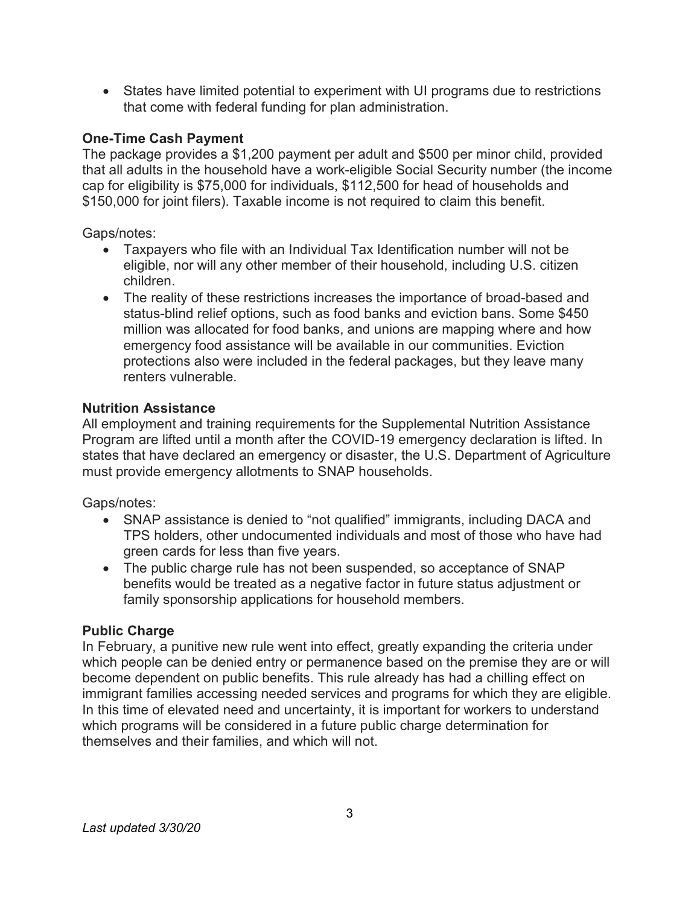States have limited potential to experiment with UI programs due to restrictions that come with federal funding for plan administration.

# One-Time Cash Payment

The package provides a \$1,200 payment per adult and \$500 per minor child, provided that all adults in the household have a work-eligible Social Security number (the income cap for eligibility is \$75,000 for individuals, \$112,500 for head of households and \$150,000 for joint filers). Taxable income is not required to claim this benefit.

Gaps/notes:

- Taxpayers who file with an Individual Tax Identification number will not be eligible, nor will any other member of their household, including U.S. citizen children.
- The reality of these restrictions increases the importance of broad-based and status-blind relief options, such as food banks and eviction bans. Some \$450 million was allocated for food banks, and unions are mapping where and how emergency food assistance will be available in our communities. Eviction protections also were included in the federal packages, but they leave many renters vulnerable.

# Nutrition Assistance

All employment and training requirements for the Supplemental Nutrition Assistance Program are lifted until a month after the COVID-19 emergency declaration is lifted. In states that have declared an emergency or disaster, the U.S. Department of Agriculture must provide emergency allotments to SNAP households.

Gaps/notes:

- SNAP assistance is denied to "not qualified" immigrants, including DACA and TPS holders, other undocumented individuals and most of those who have had green cards for less than five years.
- The public charge rule has not been suspended, so acceptance of SNAP benefits would be treated as a negative factor in future status adjustment or family sponsorship applications for household members.

# **Public Charge**

In February, a punitive new rule went into effect, greatly expanding the criteria under which people can be denied entry or permanence based on the premise they are or will become dependent on public benefits. This rule already has had a chilling effect on immigrant families accessing needed services and programs for which they are eligible. In this time of elevated need and uncertainty, it is important for workers to understand which programs will be considered in a future public charge determination for themselves and their families, and which will not.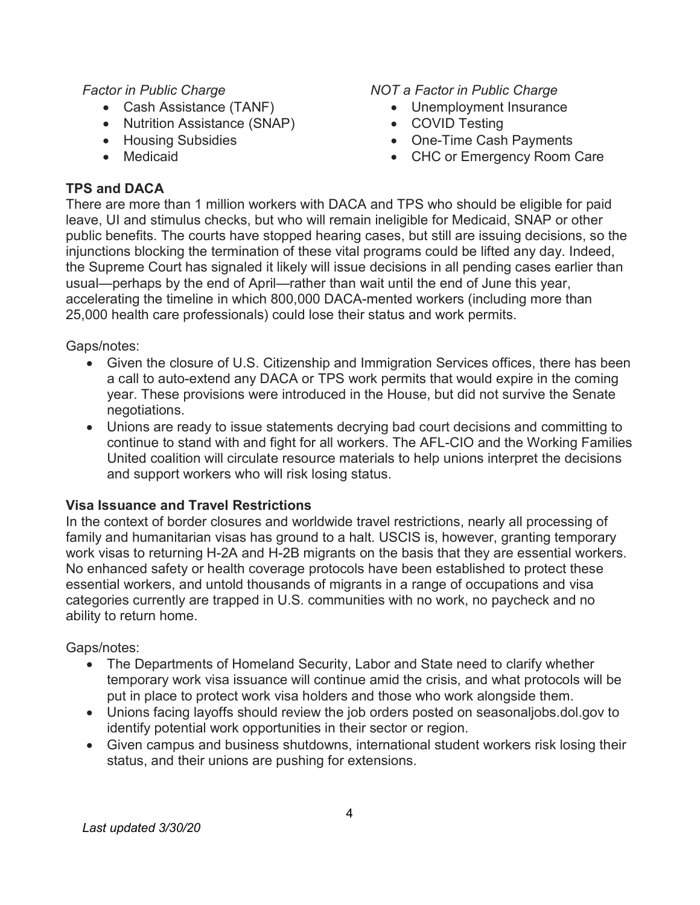## Factor in Public Charge

- Cash Assistance (TANF)
- Nutrition Assistance (SNAP)
- Housing Subsidies
- Medicaid

## TPS and DACA

### NOT a Factor in Public Charge

- Unemployment Insurance
- COVID Testing
- One-Time Cash Payments
- CHC or Emergency Room Care

There are more than 1 million workers with DACA and TPS who should be eligible for paid leave, UI and stimulus checks, but who will remain ineligible for Medicaid, SNAP or other public benefits. The courts have stopped hearing cases, but still are issuing decisions, so the injunctions blocking the termination of these vital programs could be lifted any day. Indeed, the Supreme Court has signaled it likely will issue decisions in all pending cases earlier than usual—perhaps by the end of April—rather than wait until the end of June this year, accelerating the timeline in which 800,000 DACA-mented workers (including more than 25,000 health care professionals) could lose their status and work permits.

## Gaps/notes:

- Given the closure of U.S. Citizenship and Immigration Services offices, there has been a call to auto-extend any DACA or TPS work permits that would expire in the coming year. These provisions were introduced in the House, but did not survive the Senate negotiations.
- Unions are ready to issue statements decrying bad court decisions and committing to continue to stand with and fight for all workers. The AFL-CIO and the Working Families United coalition will circulate resource materials to help unions interpret the decisions and support workers who will risk losing status.

# Visa Issuance and Travel Restrictions

In the context of border closures and worldwide travel restrictions, nearly all processing of family and humanitarian visas has ground to a halt. USCIS is, however, granting temporary work visas to returning H-2A and H-2B migrants on the basis that they are essential workers. No enhanced safety or health coverage protocols have been established to protect these essential workers, and untold thousands of migrants in a range of occupations and visa categories currently are trapped in U.S. communities with no work, no paycheck and no ability to return home.

### Gaps/notes:

- The Departments of Homeland Security, Labor and State need to clarify whether temporary work visa issuance will continue amid the crisis, and what protocols will be put in place to protect work visa holders and those who work alongside them.
- Unions facing layoffs should review the job orders posted on seasonaljobs.dol.gov to identify potential work opportunities in their sector or region.
- Given campus and business shutdowns, international student workers risk losing their status, and their unions are pushing for extensions.